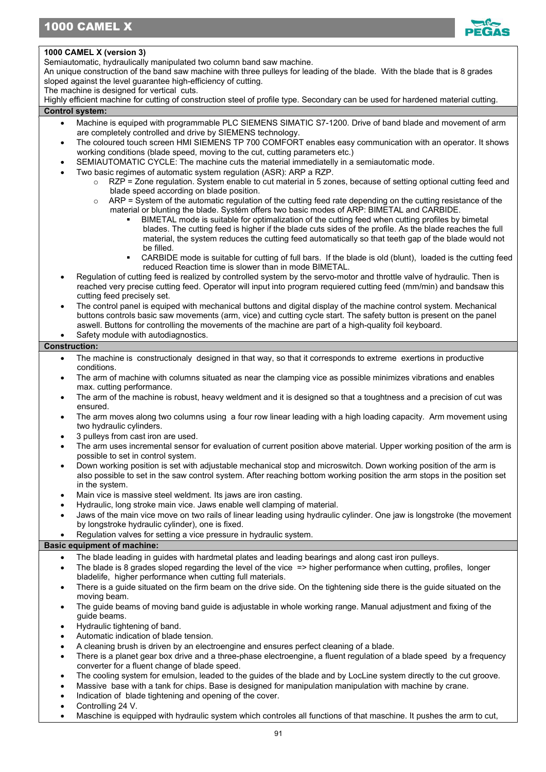

## 1000 CAMEL X (version 3)

Semiautomatic, hydraulically manipulated two column band saw machine.

An unique construction of the band saw machine with three pulleys for leading of the blade. With the blade that is 8 grades sloped against the level guarantee high-efficiency of cutting.

The machine is designed for vertical cuts.

Highly efficient machine for cutting of construction steel of profile type. Secondary can be used for hardened material cutting. Control system:

- Machine is equiped with programmable PLC SIEMENS SIMATIC S7-1200. Drive of band blade and movement of arm are completely controlled and drive by SIEMENS technology.
- The coloured touch screen HMI SIEMENS TP 700 COMFORT enables easy communication with an operator. It shows working conditions (blade speed, moving to the cut, cutting parameters etc.)
- SEMIAUTOMATIC CYCLE: The machine cuts the material immediatelly in a semiautomatic mode.
- Two basic regimes of automatic system regulation (ASR): ARP a RZP.
	- $\circ$  RZP = Zone regulation. System enable to cut material in 5 zones, because of setting optional cutting feed and blade speed according on blade position.
	- $\circ$  ARP = System of the automatic regulation of the cutting feed rate depending on the cutting resistance of the material or blunting the blade. Systém offers two basic modes of ARP: BIMETAL and CARBIDE.
		- BIMETAL mode is suitable for optimalization of the cutting feed when cutting profiles by bimetal blades. The cutting feed is higher if the blade cuts sides of the profile. As the blade reaches the full material, the system reduces the cutting feed automatically so that teeth gap of the blade would not be filled.
		- CARBIDE mode is suitable for cutting of full bars. If the blade is old (blunt), loaded is the cutting feed reduced Reaction time is slower than in mode BIMETAL.
- Regulation of cutting feed is realized by controlled system by the servo-motor and throttle valve of hydraulic. Then is reached very precise cutting feed. Operator will input into program requiered cutting feed (mm/min) and bandsaw this cutting feed precisely set.
- The control panel is equiped with mechanical buttons and digital display of the machine control system. Mechanical buttons controls basic saw movements (arm, vice) and cutting cycle start. The safety button is present on the panel aswell. Buttons for controlling the movements of the machine are part of a high-quality foil keyboard.
- Safety module with autodiagnostics.

# Construction:

- The machine is constructionaly designed in that way, so that it corresponds to extreme exertions in productive conditions.
- The arm of machine with columns situated as near the clamping vice as possible minimizes vibrations and enables max. cutting performance.
- The arm of the machine is robust, heavy weldment and it is designed so that a toughtness and a precision of cut was ensured.
- The arm moves along two columns using a four row linear leading with a high loading capacity. Arm movement using two hydraulic cylinders.
- 3 pulleys from cast iron are used.
- The arm uses incremental sensor for evaluation of current position above material. Upper working position of the arm is possible to set in control system.
- Down working position is set with adjustable mechanical stop and microswitch. Down working position of the arm is also possible to set in the saw control system. After reaching bottom working position the arm stops in the position set in the system.
- Main vice is massive steel weldment. Its jaws are iron casting.
- Hydraulic, long stroke main vice. Jaws enable well clamping of material.
- Jaws of the main vice move on two rails of linear leading using hydraulic cylinder. One jaw is longstroke (the movement by longstroke hydraulic cylinder), one is fixed.
- Regulation valves for setting a vice pressure in hydraulic system.

## Basic equipment of machine:

- The blade leading in guides with hardmetal plates and leading bearings and along cast iron pulleys.
- The blade is 8 grades sloped regarding the level of the vice => higher performance when cutting, profiles, longer bladelife, higher performance when cutting full materials.
- There is a guide situated on the firm beam on the drive side. On the tightening side there is the guide situated on the moving beam.
- The guide beams of moving band guide is adjustable in whole working range. Manual adjustment and fixing of the guide beams.
- Hydraulic tightening of band.
- Automatic indication of blade tension.
- A cleaning brush is driven by an electroengine and ensures perfect cleaning of a blade.
- There is a planet gear box drive and a three-phase electroengine, a fluent regulation of a blade speed by a frequency converter for a fluent change of blade speed.
- The cooling system for emulsion, leaded to the guides of the blade and by LocLine system directly to the cut groove.
- Massive base with a tank for chips. Base is designed for manipulation manipulation with machine by crane.
- Indication of blade tightening and opening of the cover.
- Controlling 24 V.
- Maschine is equipped with hydraulic system which controles all functions of that maschine. It pushes the arm to cut,